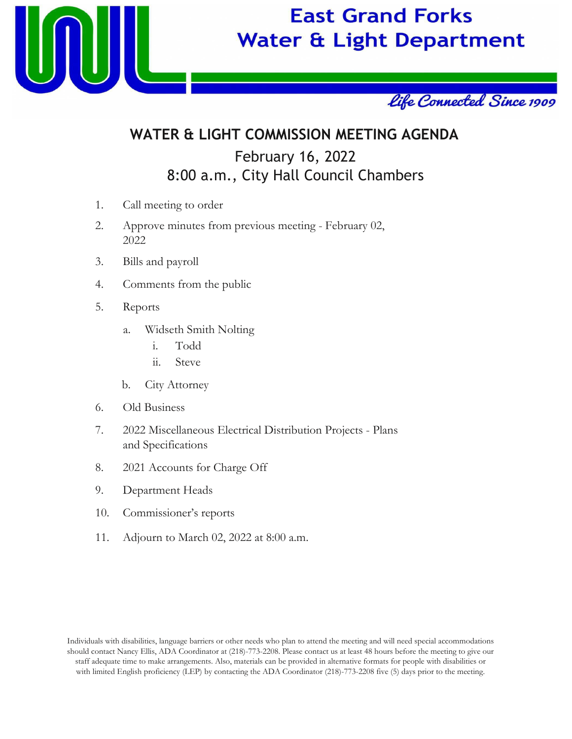

# **East Grand Forks Water & Light Department**



## **WATER & LIGHT COMMISSION MEETING AGENDA** February 16, 2022

# 8:00 a.m., City Hall Council Chambers

- 1. Call meeting to order
- 2. Approve minutes from previous meeting February 02, 2022
- 3. Bills and payroll
- 4. Comments from the public
- 5. Reports
	- a. Widseth Smith Nolting
		- i. Todd
		- ii. Steve
	- b. City Attorney
- 6. Old Business
- 7. 2022 Miscellaneous Electrical Distribution Projects Plans and Specifications
- 8. 2021 Accounts for Charge Off
- 9. Department Heads
- 10. Commissioner's reports
- 11. Adjourn to March 02, 2022 at 8:00 a.m.

Individuals with disabilities, language barriers or other needs who plan to attend the meeting and will need special accommodations should contact Nancy Ellis, ADA Coordinator at (218)-773-2208. Please contact us at least 48 hours before the meeting to give our staff adequate time to make arrangements. Also, materials can be provided in alternative formats for people with disabilities or with limited English proficiency (LEP) by contacting the ADA Coordinator (218)-773-2208 five (5) days prior to the meeting.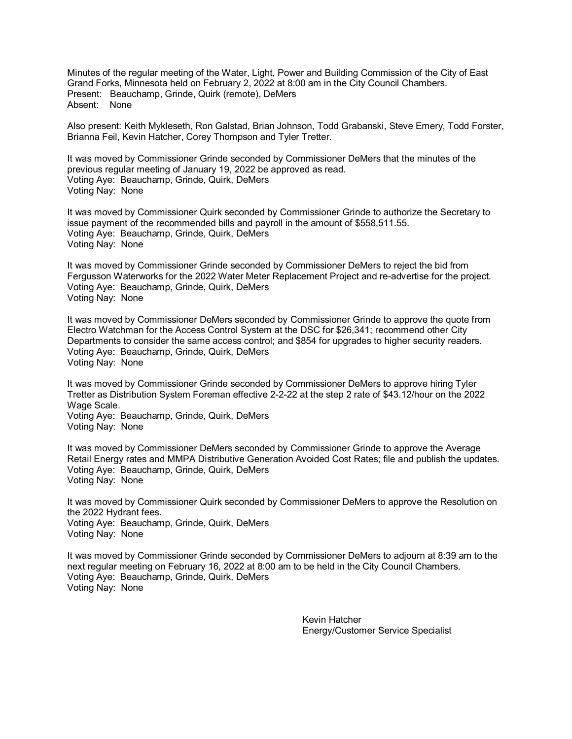Minutes of the regular meeting of the Water, Light, Power and Building Commission of the City of East Grand Forks, Minnesota held on February 2, 2022 at 8:00 am in the City Council Chambers. Present: Beauchamp, Grinde, Quirk (remote), DeMers Absent: None

Also present: Keith Mykleseth, Ron Galstad, Brian Johnson, Todd Grabanski, Steve Emery, Todd Forster, Brianna Feil, Kevin Hatcher, Corey Thompson and Tyler Tretter.

It was moved by Commissioner Grinde seconded by Commissioner DeMers that the minutes of the previous regular meeting of January 19, 2022 be approved as read. Voting Aye: Beauchamp, Grinde, Quirk, DeMers Voting Nay: None

It was moved by Commissioner Quirk seconded by Commissioner Grinde to authorize the Secretary to issue payment of the recommended bills and payroll in the amount of \$558,511.55. Voting Aye: Beauchamp, Grinde, Quirk, DeMers Voting Nay: None

It was moved by Commissioner Grinde seconded by Commissioner DeMers to reject the bid from Fergusson Waterworks for the 2022 Water Meter Replacement Project and re-advertise for the project. Voting Aye: Beauchamp, Grinde, Quirk, DeMers Voting Nay: None

It was moved by Commissioner DeMers seconded by Commissioner Grinde to approve the quote from Electro Watchman for the Access Control System at the DSC for \$26,341; recommend other City Departments to consider the same access control; and \$854 for upgrades to higher security readers. Voting Aye: Beauchamp, Grinde, Quirk, DeMers Voting Nay: None

It was moved by Commissioner Grinde seconded by Commissioner DeMers to approve hiring Tyler Tretter as Distribution System Foreman effective 2-2-22 at the step 2 rate of \$43.12/hour on the 2022 Wage Scale. Voting Aye: Beauchamp, Grinde, Quirk, DeMers

Voting Nay: None

It was moved by Commissioner DeMers seconded by Commissioner Grinde to approve the Average Retail Energy rates and MMPA Distributive Generation Avoided Cost Rates; file and publish the updates. Voting Aye: Beauchamp, Grinde, Quirk, DeMers Voting Nay: None

It was moved by Commissioner Quirk seconded by Commissioner DeMers to approve the Resolution on the 2022 Hydrant fees. Voting Aye: Beauchamp, Grinde, Quirk, DeMers Voting Nay: None

It was moved by Commissioner Grinde seconded by Commissioner DeMers to adjourn at 8:39 am to the next regular meeting on February 16, 2022 at 8:00 am to be held in the City Council Chambers. Voting Aye: Beauchamp, Grinde, Quirk, DeMers Voting Nay: None

> Kevin Hatcher Energy/Customer Service Specialist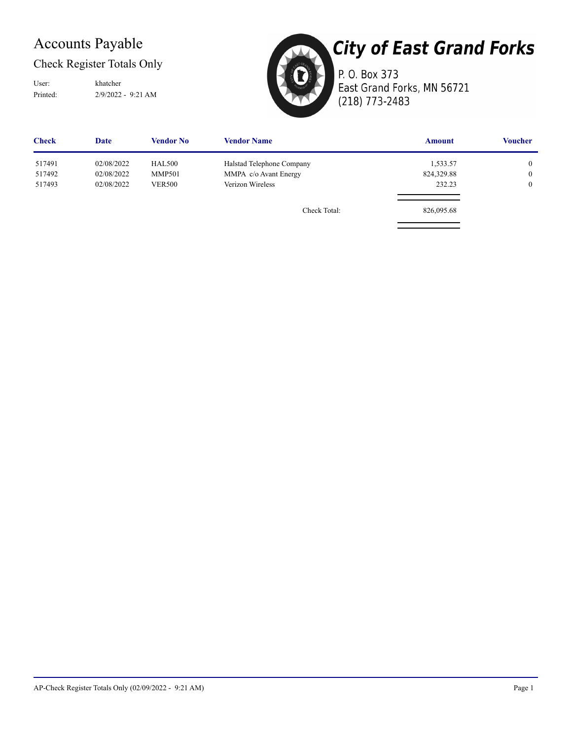## Accounts Payable

Check Register Totals Only

Printed: 2/9/2022 - 9:21 AM User: khatcher



**City of East Grand Forks** 

P. O. Box 373 East Grand Forks, MN 56721 (218) 773-2483

| <b>Check</b> | <b>Date</b> | <b>Vendor No</b> | <b>Vendor Name</b>        | <b>Amount</b> | <b>Voucher</b> |
|--------------|-------------|------------------|---------------------------|---------------|----------------|
| 517491       | 02/08/2022  | <b>HAL500</b>    | Halstad Telephone Company | 1,533.57      | $\overline{0}$ |
| 517492       | 02/08/2022  | <b>MMP501</b>    | MMPA c/o Avant Energy     | 824,329.88    | $\overline{0}$ |
| 517493       | 02/08/2022  | <b>VER500</b>    | Verizon Wireless          | 232.23        | $\overline{0}$ |
|              |             |                  | Check Total:              | 826,095.68    |                |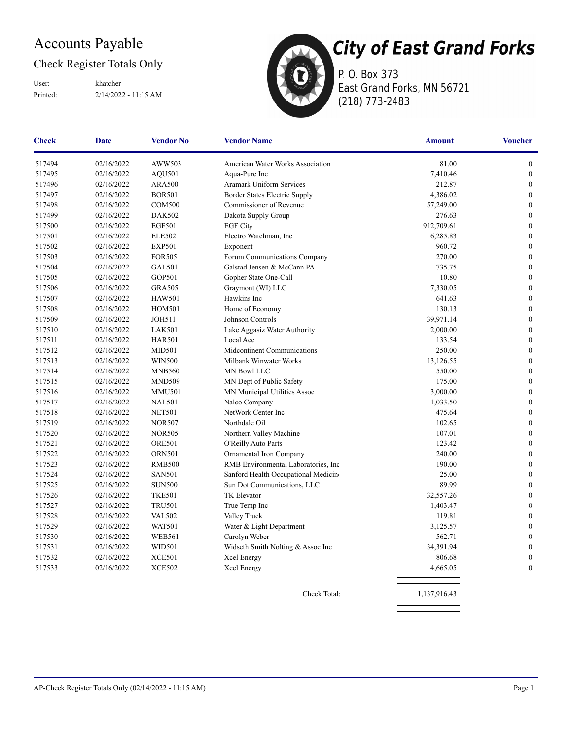## Accounts Payable

#### Check Register Totals Only

Printed: 2/14/2022 - 11:15 AM User: khatcher



P. O. Box 373 East Grand Forks, MN 56721 (218) 773-2483

| <b>Check</b> | Date       | <b>Vendor No</b> | <b>Vendor Name</b>                   | <b>Amount</b> | <b>Voucher</b>   |
|--------------|------------|------------------|--------------------------------------|---------------|------------------|
| 517494       | 02/16/2022 | AWW503           | American Water Works Association     | 81.00         | $\boldsymbol{0}$ |
| 517495       | 02/16/2022 | AQU501           | Aqua-Pure Inc                        | 7,410.46      | $\boldsymbol{0}$ |
| 517496       | 02/16/2022 | <b>ARA500</b>    | <b>Aramark Uniform Services</b>      | 212.87        | $\boldsymbol{0}$ |
| 517497       | 02/16/2022 | <b>BOR501</b>    | Border States Electric Supply        | 4,386.02      | $\boldsymbol{0}$ |
| 517498       | 02/16/2022 | <b>COM500</b>    | Commissioner of Revenue              | 57,249.00     | $\theta$         |
| 517499       | 02/16/2022 | <b>DAK502</b>    | Dakota Supply Group                  | 276.63        | $\boldsymbol{0}$ |
| 517500       | 02/16/2022 | <b>EGF501</b>    | <b>EGF City</b>                      | 912,709.61    | $\boldsymbol{0}$ |
| 517501       | 02/16/2022 | <b>ELE502</b>    | Electro Watchman, Inc                | 6,285.83      | $\boldsymbol{0}$ |
| 517502       | 02/16/2022 | <b>EXP501</b>    | Exponent                             | 960.72        | $\boldsymbol{0}$ |
| 517503       | 02/16/2022 | <b>FOR505</b>    | Forum Communications Company         | 270.00        | $\mathbf{0}$     |
| 517504       | 02/16/2022 | <b>GAL501</b>    | Galstad Jensen & McCann PA           | 735.75        | $\boldsymbol{0}$ |
| 517505       | 02/16/2022 | <b>GOP501</b>    | Gopher State One-Call                | 10.80         | $\mathbf{0}$     |
| 517506       | 02/16/2022 | <b>GRA505</b>    | Graymont (WI) LLC                    | 7,330.05      | $\boldsymbol{0}$ |
| 517507       | 02/16/2022 | <b>HAW501</b>    | Hawkins Inc                          | 641.63        | $\boldsymbol{0}$ |
| 517508       | 02/16/2022 | <b>HOM501</b>    | Home of Economy                      | 130.13        | $\mathbf{0}$     |
| 517509       | 02/16/2022 | <b>JOH511</b>    | Johnson Controls                     | 39,971.14     | $\mathbf{0}$     |
| 517510       | 02/16/2022 | <b>LAK501</b>    | Lake Aggasiz Water Authority         | 2,000.00      | $\boldsymbol{0}$ |
| 517511       | 02/16/2022 | <b>HAR501</b>    | Local Ace                            | 133.54        | $\boldsymbol{0}$ |
| 517512       | 02/16/2022 | <b>MID501</b>    | Midcontinent Communications          | 250.00        | $\mathbf{0}$     |
| 517513       | 02/16/2022 | <b>WIN500</b>    | Milbank Winwater Works               | 13,126.55     | $\boldsymbol{0}$ |
| 517514       | 02/16/2022 | <b>MNB560</b>    | MN Bowl LLC                          | 550.00        | $\boldsymbol{0}$ |
| 517515       | 02/16/2022 | <b>MND509</b>    | MN Dept of Public Safety             | 175.00        | $\mathbf{0}$     |
| 517516       | 02/16/2022 | <b>MMU501</b>    | MN Municipal Utilities Assoc         | 3,000.00      | $\mathbf{0}$     |
| 517517       | 02/16/2022 | <b>NAL501</b>    | Nalco Company                        | 1,033.50      | $\boldsymbol{0}$ |
| 517518       | 02/16/2022 | <b>NET501</b>    | NetWork Center Inc                   | 475.64        | $\boldsymbol{0}$ |
| 517519       | 02/16/2022 | <b>NOR507</b>    | Northdale Oil                        | 102.65        | $\mathbf{0}$     |
| 517520       | 02/16/2022 | <b>NOR505</b>    | Northern Valley Machine              | 107.01        | $\mathbf{0}$     |
| 517521       | 02/16/2022 | <b>ORE501</b>    | O'Reilly Auto Parts                  | 123.42        | $\boldsymbol{0}$ |
| 517522       | 02/16/2022 | <b>ORN501</b>    | Ornamental Iron Company              | 240.00        | $\mathbf{0}$     |
| 517523       | 02/16/2022 | <b>RMB500</b>    | RMB Environmental Laboratories, Inc. | 190.00        | $\mathbf{0}$     |
| 517524       | 02/16/2022 | <b>SAN501</b>    | Sanford Health Occupational Medicine | 25.00         | $\boldsymbol{0}$ |
| 517525       | 02/16/2022 | <b>SUN500</b>    | Sun Dot Communications, LLC          | 89.99         | $\boldsymbol{0}$ |
| 517526       | 02/16/2022 | <b>TKE501</b>    | TK Elevator                          | 32,557.26     | $\mathbf{0}$     |
| 517527       | 02/16/2022 | <b>TRU501</b>    | True Temp Inc                        | 1,403.47      | $\mathbf{0}$     |
| 517528       | 02/16/2022 | <b>VAL502</b>    | Valley Truck                         | 119.81        | $\boldsymbol{0}$ |
| 517529       | 02/16/2022 | <b>WAT501</b>    | Water & Light Department             | 3,125.57      | $\mathbf{0}$     |
| 517530       | 02/16/2022 | <b>WEB561</b>    | Carolyn Weber                        | 562.71        | $\mathbf{0}$     |
| 517531       | 02/16/2022 | <b>WID501</b>    | Widseth Smith Nolting & Assoc Inc    | 34,391.94     | $\boldsymbol{0}$ |
| 517532       | 02/16/2022 | <b>XCE501</b>    | Xcel Energy                          | 806.68        | $\boldsymbol{0}$ |
| 517533       | 02/16/2022 | <b>XCE502</b>    | Xcel Energy                          | 4,665.05      | $\overline{0}$   |
|              |            |                  |                                      |               |                  |

Check Total: 1,137,916.43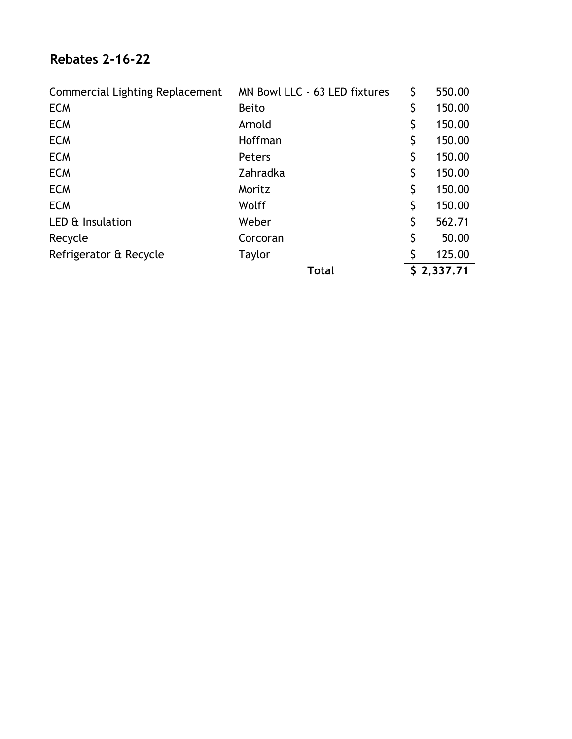### **Rebates 2-16-22**

| <b>Commercial Lighting Replacement</b> | MN Bowl LLC - 63 LED fixtures | \$ | 550.00     |
|----------------------------------------|-------------------------------|----|------------|
| <b>ECM</b>                             | <b>Beito</b>                  | \$ | 150.00     |
| <b>ECM</b>                             | Arnold                        | \$ | 150.00     |
| <b>ECM</b>                             | Hoffman                       | \$ | 150.00     |
| <b>ECM</b>                             | Peters                        | \$ | 150.00     |
| <b>ECM</b>                             | Zahradka                      | \$ | 150.00     |
| <b>ECM</b>                             | Moritz                        | \$ | 150.00     |
| <b>ECM</b>                             | Wolff                         | \$ | 150.00     |
| LED & Insulation                       | Weber                         | \$ | 562.71     |
| Recycle                                | Corcoran                      | \$ | 50.00      |
| Refrigerator & Recycle                 | <b>Taylor</b>                 | Ś  | 125.00     |
|                                        | <b>Total</b>                  |    | \$2,337.71 |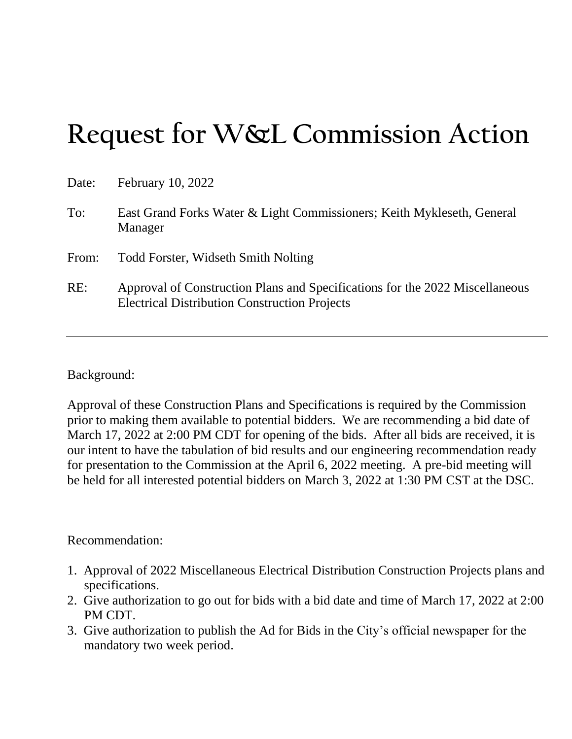# **Request for W&L Commission Action**

| Date: | February 10, 2022                                                                                                                    |  |
|-------|--------------------------------------------------------------------------------------------------------------------------------------|--|
| To:   | East Grand Forks Water & Light Commissioners; Keith Mykleseth, General<br>Manager                                                    |  |
| From: | <b>Todd Forster, Widseth Smith Nolting</b>                                                                                           |  |
| RE:   | Approval of Construction Plans and Specifications for the 2022 Miscellaneous<br><b>Electrical Distribution Construction Projects</b> |  |

Background:

Approval of these Construction Plans and Specifications is required by the Commission prior to making them available to potential bidders. We are recommending a bid date of March 17, 2022 at 2:00 PM CDT for opening of the bids. After all bids are received, it is our intent to have the tabulation of bid results and our engineering recommendation ready for presentation to the Commission at the April 6, 2022 meeting. A pre-bid meeting will be held for all interested potential bidders on March 3, 2022 at 1:30 PM CST at the DSC.

### Recommendation:

- 1. Approval of 2022 Miscellaneous Electrical Distribution Construction Projects plans and specifications.
- 2. Give authorization to go out for bids with a bid date and time of March 17, 2022 at 2:00 PM CDT.
- 3. Give authorization to publish the Ad for Bids in the City's official newspaper for the mandatory two week period.